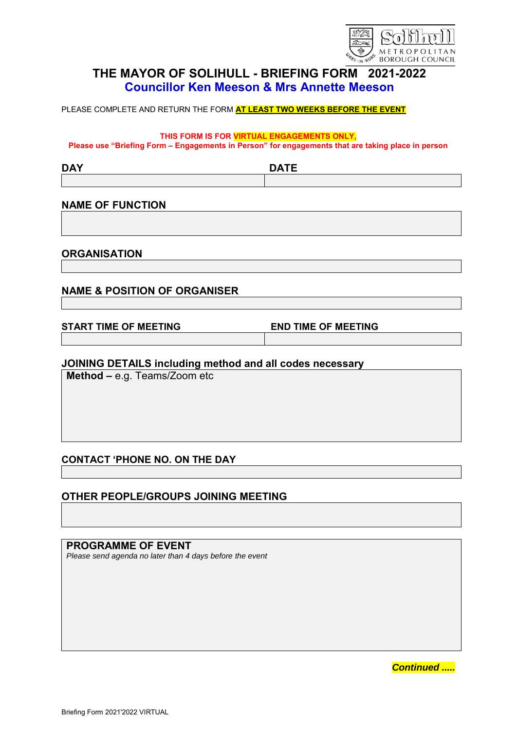

# **THE MAYOR OF SOLIHULL - BRIEFING FORM 2021-2022 Councillor Ken Meeson & Mrs Annette Meeson**

PLEASE COMPLETE AND RETURN THE FORM **AT LEAST TWO WEEKS BEFORE THE EVENT**

**THIS FORM IS FOR VIRTUAL ENGAGEMENTS ONLY,** 

**Please use "Briefing Form – Engagements in Person" for engagements that are taking place in person** 

**DAY DATE**

#### **NAME OF FUNCTION**

**ORGANISATION**

### **NAME & POSITION OF ORGANISER**

**START TIME OF MEETING END TIME OF MEETING**

#### **JOINING DETAILS including method and all codes necessary**

**Method –** e.g. Teams/Zoom etc

### **CONTACT 'PHONE NO. ON THE DAY**

### **OTHER PEOPLE/GROUPS JOINING MEETING**

**PROGRAMME OF EVENT** *Please send agenda no later than 4 days before the event*